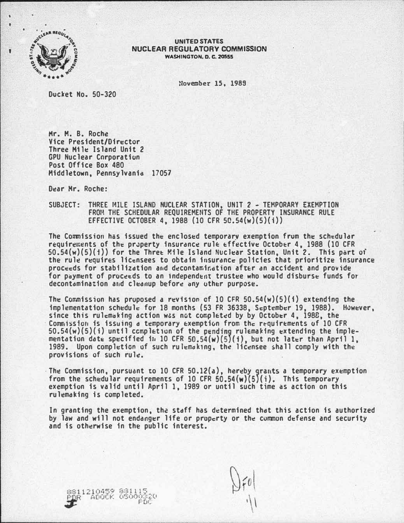

### UNITED STATES NUCLEAR REGULATORY COMMISSION WASHINGTON, D. C. 20555

!lovember 15, 1989

Docket Ho. 50-320

Mr. M. B. Roche Vice President/Director Three H11e Island Unit 2 GPU Nuclear Cnrporatiun Post Office Box 480 Middletown, Pennsylvania 17057

D�ar Hr. Roche:

## SUBJECT: THREE I�ILE ISLAND NUCLEAR STATION, UNIT 2 - TEMPORARY EXEMPTION FROH THE SCHEDULAR REQUIREMEIITS OF THE PROPERTY INSURANCE RULE EFFECTIVE OCTOBER 4, 1988 (10 CFR 5C.54{w)(5){i))

The Commission has issued the enclosed temporary exemption from the schedular requirements of the property insurance rule effective October 4, 1988 (10 CFR 50.54(w)(5)(i)) for the Thre� Mile Island Nuclear Station, Unit 2. This part of the rule requires licensees to obtain insurance policies that prioritize insurance proceeds for stabilization and decontamination after an accident and provide for payment of proceeds to an independent trustee who would disburse funds for decontamination and cleanup before any uther purpose.

The Commission has proposed a revision of 10 CFR  $50.54(w)(5)(i)$  extending the implementation schedule for 18 months (53 FR 36338, Scptember 19, 1988). However, since this rulcmaking action w�s not completed by by October 4, 198E, the Commission is issuing a temporary exemption from the requirements of 10 CFR  $50.54(w)(5)(i)$  until ccmpletion of the pending rulemaking extending the implementation date specified in 10 CFR  $50.54(w)(5)(i)$ , but not later than April 1, 1989. Upon completion of such rulcmdk1ng, the licensee shall comply with the provisions of such rule.

The Commission, pursuant to 10 CFR 50.12(a), hereby grants a temporary exemption from the schedular requirements of 10 CFR  $50.54(w)(5)(i)$ . This temporary exemption is valid until April 1, 1989 or until such time as action on this rulemaking is completed.

In granting the exemption, the staff has determined that this action is authorized by law and will not endanger life or property or the common defense and security and is otherwise in the public interest.

8811210459 881115<br>PDR - ADOCK 05000320 POC.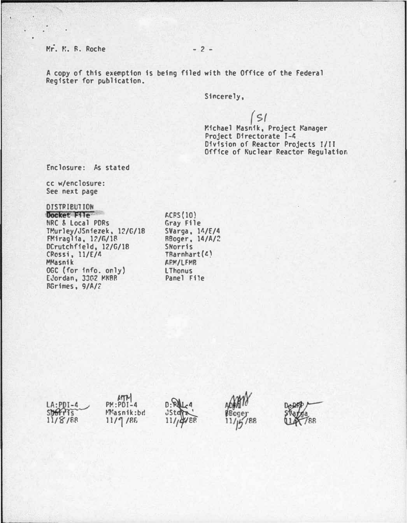Mr. N. R. Roche - 2 -

A copy of this exemption is being filed with the Office of the Federal Register for publication.

Sincerely,

( \${ r.ichael Masnik, Project Manager Project Directorate T-4 Division of Reactor Projects T/II Office of Nuclear Reactor Regulation

Enclosure: As stated

cc w/enclosure: See next page

# OISTPIBUTION

DOCket F11e NRC & Local PORs U!urley/JSniezek. 12/G/18 FMiraglia, 1?/G/1� OCrutchfield, 12/G/18 CPossi. 11/E/4 MMasnik OGC (for info. only) EJordan, 3302 MNBB  $RGrimes$ ,  $9/A/2$ 

1-CRS(lO) Gray File SVarga, 14/E/4 RBoger, 14/A/2 SNorris TRarnhart(4) **APM/LEMB** LThonus Panel File

| LA: PDI-4<br>SDOTTIS<br>11/8/68 | $P$ <sup><math>k</math></sup> $P$ <sup><math>-4</math></sup><br>Masnik:bd<br>11/9/86 | $0:RL4$<br>$35t$ | goons<br>$\frac{11}{11/15}$ /88 | <b>BHAPP</b> |
|---------------------------------|--------------------------------------------------------------------------------------|------------------|---------------------------------|--------------|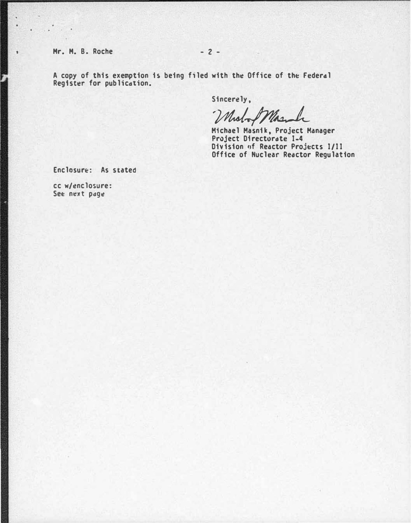Hr. H. B. Roche - 2 -

ī.

 $\cdot$ 

A copy of this exemption is being f1led with th� Office of the Federal Reg1st�r for publication.

Sincerely,

Molof March

 Michael Masnik, Project Manager Project Directorate 1-4 Division of Reactor Projects 1/11 Office of Nuclear Reactor Regulation

Enclosure: As stated

cc w/enclosure: See next page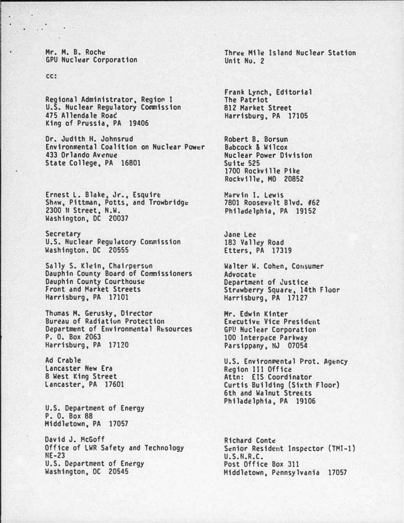Mr. M. B. Roche GPU Nucl�ar Corporation

cc:

Regional Administrator, Region I U.S. Nuclear Regulatory Commission 475 Allendale Roac King of Prussia, PA 19406

Dr. Judith H. Johnsrud Environmental Coalition on Nuclear Power 433 Orlando Avenue State College, PA 16801

Ernest L. Blake, Jr., Esquire Shaw, Pittman, Potts, and Trowbridge 2300 fl Street, N.W. Washington, DC 20037

Secretary U.S. Nuclear Regulatory Commission Washington, DC 20555

Sally S. Klein, Chairperson Dauphin County Board of Commissioners Dauphin County Courthouse Front and Market Streets Harrisburg, PA 17101

Thumas H. Gerusky, Director Bureau of Radiation Protection Department of Environmental Resources P. 0. Box 2063 Harrisburg, PA 17120

Ad Crable Lancaster New Era 8 West King Street Lancaster, PA 17601

U.S. Department of Energy P. 0. Box 88 Hiddl�town, PA 17057

David J. McGoff Office of LWR Safety and Technology NE-23 U.S. Department of Energy Washington, OC 20545

Thr�� Hil� Island Nuclear Statton Unit No. 2

Frank lynch, Editorial The Patriot 812 Market Street Harrisburg. PA 17105

Robert B. Borsum Bdbcock & Wilcox Nuclear Power Division Suite 525 1700 Rockville Pike Rockvtll�. HO 20852

Morvin I. Lewis 7801 Roosevelt Blvd. #62 Philddelphia, PA 19152

Jane Lee 183 Valley Road Etters, PA 17319

Walter W. Cohen, Consumer **Advocate** Department of Justice Strawberry Square, 14th Floor Harrisburg, PA 17127

Hr. Edwin Kinter Executive Vice President GPU Nuclear Corporation 100 Interpace Parkway Parsippany, tiJ 07054

U.S. Environmental Prot. Agency Region III Office Attn: ElS Coordinator Curtis Building (Sixth Floor) 6th and Walnut Streets Philadelphia, PA 19106

Richard Conte! Senior Resident Inspector (TMI-1) U.S.N.R.C. Post Office Box 311 Middletown, Pennsylvania 17057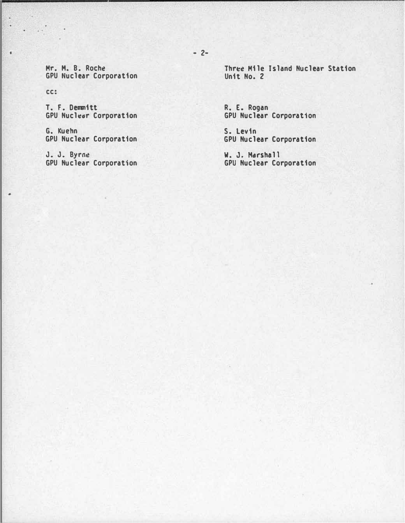Mr. H. B. Roche GPU Nuclear Corporation

cc:

S. i.

 $\ddot{\phantom{1}}$ 

ı.

T. F. Dennitt GPU Nucledr Corporation

G. Kuehn GPU Nuclear Corporation

J. J. Byrne GPU Nuclear Corporation Three Mile Island Nuclear Station Unit No. 2

R. E. Rogan GPU Nuclear Corporation

S. levin GPU Nuclear Corporation

W. J. Marshall GPU Nuclear Corporation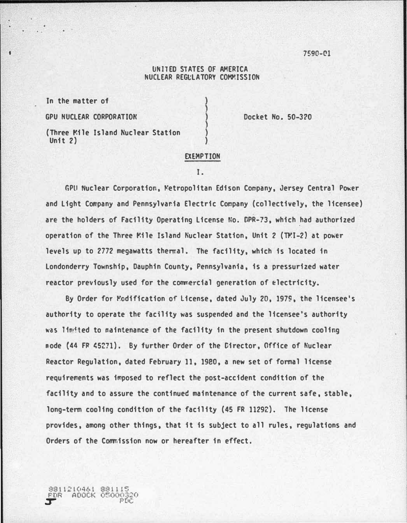7590-C!l

## UNITED STATES OF AMERICA NUCLEAR REGULATORY COMMISSION

In the matter of

GPU NUCLEAR CORPORATION DOCKet No. 50-320

8811210461 881115<br>
FDR ADOCK 05000320<br>
PDC

(Three Mile Island Nuclear Station Unit 2)

# EXEMPTION

#### I.

GPU Nuclear Corporation, Metropolitan Edison Company, Jersey Central Power and Light Cowpany and Pennsylvania Electric Company (collectively, the licensee) are the holders of Facility Operating License No. OPR-73, which had authorized operation of the Three Mile Island Nuclear Station, Unit 2 (TMI-2) at power levels up to 2772 megawatts thermal. The facility, which is located in Londonderry Township, Dauphin County, Pennsylvania, is a pressurized water reactor previously used for the commercial generation of electricity.

By Order for Modification of License, dated July 20, 1979, the licensee's authority to operate the facility was suspended and the licensee's authority was limited to maintenance of the facility in the present shutdown cooling node {44 FR (5271}. By further Order of the Director, Office of Nuclear Reactor Regulation, dated February 11, 1980, a new set of formal license requirements was imposed to reflect the post-accident condition of the facility and to assure the continued maintenance of the current safe, stable, long-term cooling condition of the facility (45 FR 11292). The license provides, among other things, that it is subject to all rules, regulations and Orders of the Commission now or hereafter in effect.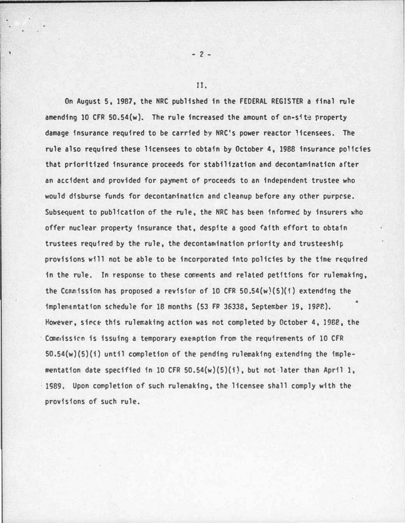On August 5, 1987, the NRC published in the FEDERAL REGISTER a final rule amending 10 CFR  $50.54(w)$ . The rule increased the amount of on-site property damage insurance required to be carried by NRC's power reactor licensees. The rule also required these licensees to obtain by October 4, 1988 insurance policies that prioritized insurance proceeds for stabilization and decontamination after an accident and provided for payment of proceeds to an independent trustee who would disburse funds for decontamination and cleanup before any other purpose. Subsequent to publication of the rule, the NRC has been informed by insurers who offer nuclear property insurance that, despite a good faith effort to obtain trustees required by the rule, the decontamination priority and trusteeship provisions will not be able to be incorporated into policies by the time required in the rule. In response to these comments and related petitions for rulemaking, the Connission has proposed a revision of 10 CFR 50.54 $(w)(5)(1)$  extending the implemEntation schedule for 18 months (53 FR 36338, September 19, 19P8). However, since this rulemaking action was not completed by October 4, 1988, the Connission is issuing a temporary exemption from the requirements of 10 CFR  $50.54(w)(5)(i)$  until completion of the pending rulemaking extending the implementation date specified in 10 CFR  $50.54(w)(5)(i)$ , but not later than April 1, 1S89. Upon completion of such rulernaking, the licensee shall comply with the provisions of such rule.

JJ.

 $- 2 -$ 

 $\mathbf{I}$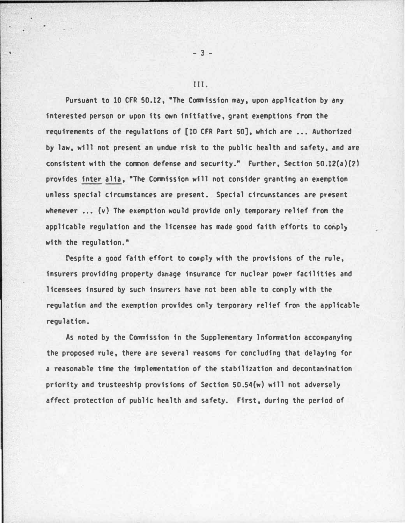Pursuant to 10 CFR 50.12, "The Commission may, upon application by any interested person or upon its own initiative, grant exemptions from the requirements of the requlations of [10 CFR Part 50], which are ... Authorized by law, will not present an undue risk to the public health and safety, and are consistent with the common defense and security." Further, Section 50.12(a)(2) provides inter alia, "The Commission will not consider granting an exemption unless special circumstances are present. Special circumstances are present whenever  $\ldots$  (v) The exemption would provide only temporary relief from the applicable regulation and the licensee has made good faith efforts to comply with the regulation."

Despite a good faith effort to comply with the provisions of the rule, insurers providing property damage insurance for nuclear power facilities and licensees insured by such insurers have not been able to comply with the regulation and the exemption provides only temporary relief from the applicable regulation.

As noted by the Commission in the Supplementary Infonration accon.panying the proposed rule, there are several reasons for concluding that delaying for a reasonable time the implementation of the stabilization and decontamination priority and trusteeship provisions of Section 50.54(w) will not adversely affect protection of public health and safety. First, during the period of

### III.

- 3 -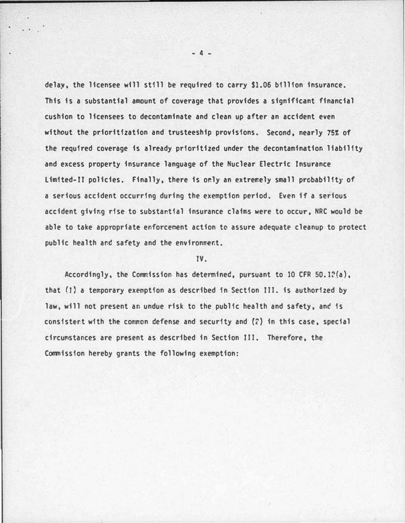delay. the licensee will still be required to carry \$1.06 billion insurance. This is a substantial amount of coverage that provides a significant financial cushion to licensees to decontaminate and clean up after an accident even without the prioritization and trusteeship provisions. Second, nearly 75% of the required coverage is already prioritized under the decontamination liability and excess property insurance language of the Nuclear Electric Insurance Limited-II policies. Finally, there is only an extremely small probability of a serious accident occurring during the exemption period. Even if a serious accident giving rise to substantial insurance claims were to occur. NRC would be able to take appropriate enforcement action to assure adequate cleanup to protect public health and safety and the environment.

## IV.

Accordingly, the Commission has determined, pursuant to 10 CFR  $50.12(a)$ , that (J) a temporary exemption as described in Section III. is authorized by law, will not present an undue risk to the public health and safety, and is consistent with the common defense and security and  $(2)$  in this case, special circumstances are present as described in Section III. Therefore, the Commission hereby grants the following exemption:

 $- 4 -$